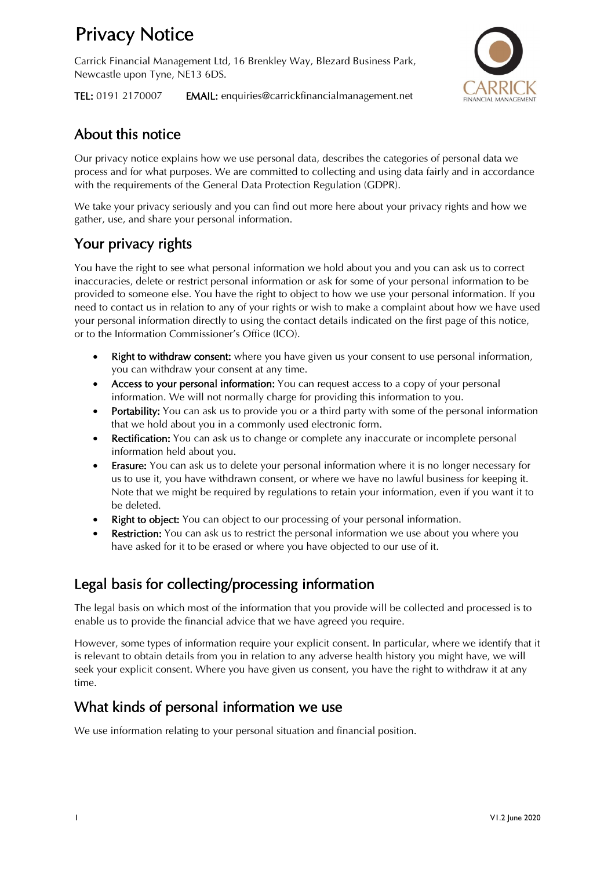# Privacy Notice

Carrick Financial Management Ltd, 16 Brenkley Way, Blezard Business Park, Newcastle upon Tyne, NE13 6DS.



TEL: 0191 2170007 EMAIL: enquiries@carrickfinancialmanagement.net

### About this notice

Our privacy notice explains how we use personal data, describes the categories of personal data we process and for what purposes. We are committed to collecting and using data fairly and in accordance with the requirements of the General Data Protection Regulation (GDPR).

We take your privacy seriously and you can find out more here about your privacy rights and how we gather, use, and share your personal information.

## Your privacy rights

You have the right to see what personal information we hold about you and you can ask us to correct inaccuracies, delete or restrict personal information or ask for some of your personal information to be provided to someone else. You have the right to object to how we use your personal information. If you need to contact us in relation to any of your rights or wish to make a complaint about how we have used your personal information directly to using the contact details indicated on the first page of this notice, or to the Information Commissioner's Office (ICO).

- Right to withdraw consent: where you have given us your consent to use personal information, you can withdraw your consent at any time.
- Access to your personal information: You can request access to a copy of your personal information. We will not normally charge for providing this information to you.
- Portability: You can ask us to provide you or a third party with some of the personal information that we hold about you in a commonly used electronic form.
- Rectification: You can ask us to change or complete any inaccurate or incomplete personal information held about you.
- Erasure: You can ask us to delete your personal information where it is no longer necessary for us to use it, you have withdrawn consent, or where we have no lawful business for keeping it. Note that we might be required by regulations to retain your information, even if you want it to be deleted.
- **Right to object:** You can object to our processing of your personal information.
- **Restriction:** You can ask us to restrict the personal information we use about you where you have asked for it to be erased or where you have objected to our use of it.

### Legal basis for collecting/processing information

The legal basis on which most of the information that you provide will be collected and processed is to enable us to provide the financial advice that we have agreed you require.

However, some types of information require your explicit consent. In particular, where we identify that it is relevant to obtain details from you in relation to any adverse health history you might have, we will seek your explicit consent. Where you have given us consent, you have the right to withdraw it at any time.

#### What kinds of personal information we use

We use information relating to your personal situation and financial position.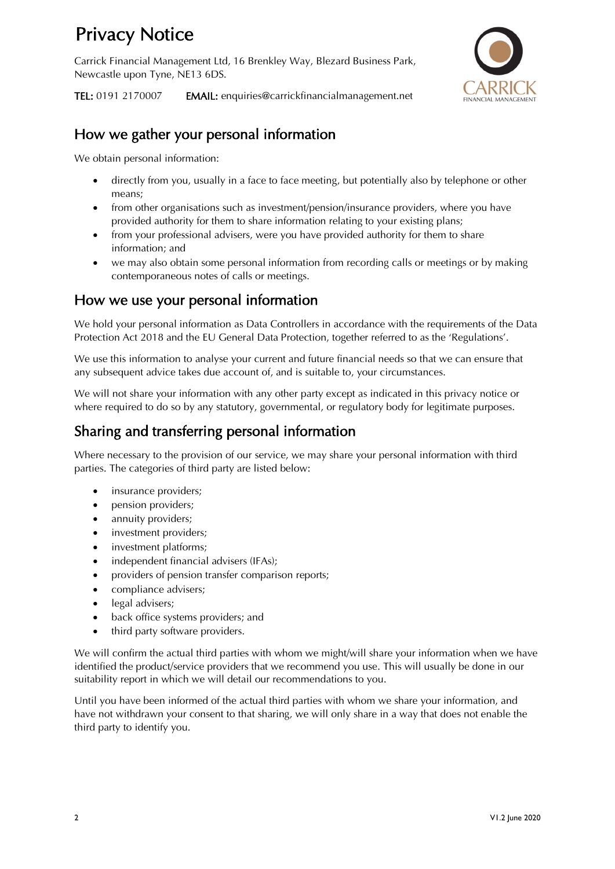# Privacy Notice

Carrick Financial Management Ltd, 16 Brenkley Way, Blezard Business Park, Newcastle upon Tyne, NE13 6DS.



TEL: 0191 2170007 EMAIL: enquiries@carrickfinancialmanagement.net

#### How we gather your personal information

We obtain personal information:

- directly from you, usually in a face to face meeting, but potentially also by telephone or other means;
- from other organisations such as investment/pension/insurance providers, where you have provided authority for them to share information relating to your existing plans;
- from your professional advisers, were you have provided authority for them to share information; and
- we may also obtain some personal information from recording calls or meetings or by making contemporaneous notes of calls or meetings.

#### How we use your personal information

We hold your personal information as Data Controllers in accordance with the requirements of the Data Protection Act 2018 and the EU General Data Protection, together referred to as the 'Regulations'.

We use this information to analyse your current and future financial needs so that we can ensure that any subsequent advice takes due account of, and is suitable to, your circumstances.

We will not share your information with any other party except as indicated in this privacy notice or where required to do so by any statutory, governmental, or regulatory body for legitimate purposes.

#### Sharing and transferring personal information

Where necessary to the provision of our service, we may share your personal information with third parties. The categories of third party are listed below:

- insurance providers;
- pension providers;
- annuity providers;
- investment providers;
- investment platforms;
- independent financial advisers (IFAs);
- providers of pension transfer comparison reports;
- compliance advisers;
- legal advisers;
- back office systems providers; and
- third party software providers.

We will confirm the actual third parties with whom we might/will share your information when we have identified the product/service providers that we recommend you use. This will usually be done in our suitability report in which we will detail our recommendations to you.

Until you have been informed of the actual third parties with whom we share your information, and have not withdrawn your consent to that sharing, we will only share in a way that does not enable the third party to identify you.